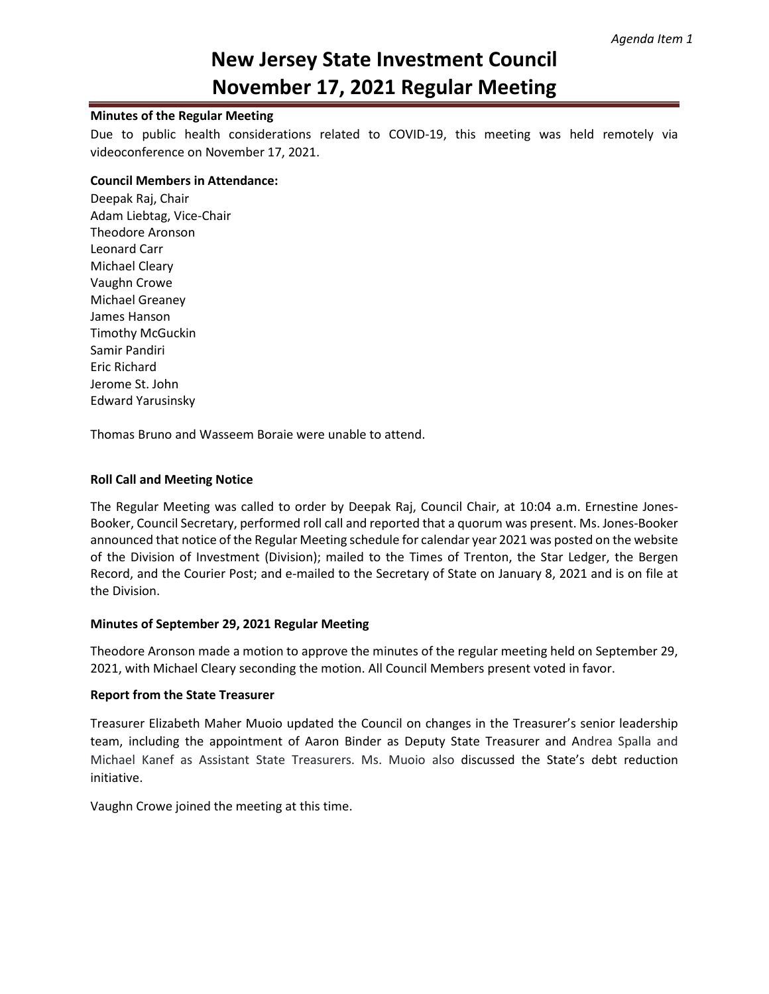# **New Jersey State Investment Council November 17, 2021 Regular Meeting**

### **Minutes of the Regular Meeting**

Due to public health considerations related to COVID-19, this meeting was held remotely via videoconference on November 17, 2021.

#### **Council Members in Attendance:**

Deepak Raj, Chair Adam Liebtag, Vice-Chair Theodore Aronson Leonard Carr Michael Cleary Vaughn Crowe Michael Greaney James Hanson Timothy McGuckin Samir Pandiri Eric Richard Jerome St. John Edward Yarusinsky

Thomas Bruno and Wasseem Boraie were unable to attend.

### **Roll Call and Meeting Notice**

The Regular Meeting was called to order by Deepak Raj, Council Chair, at 10:04 a.m. Ernestine Jones-Booker, Council Secretary, performed roll call and reported that a quorum was present. Ms. Jones-Booker announced that notice of the Regular Meeting schedule for calendar year 2021 was posted on the website of the Division of Investment (Division); mailed to the Times of Trenton, the Star Ledger, the Bergen Record, and the Courier Post; and e-mailed to the Secretary of State on January 8, 2021 and is on file at the Division.

## **Minutes of September 29, 2021 Regular Meeting**

Theodore Aronson made a motion to approve the minutes of the regular meeting held on September 29, 2021, with Michael Cleary seconding the motion. All Council Members present voted in favor.

### **Report from the State Treasurer**

Treasurer Elizabeth Maher Muoio updated the Council on changes in the Treasurer's senior leadership team, including the appointment of Aaron Binder as Deputy State Treasurer and Andrea Spalla and Michael Kanef as Assistant State Treasurers. Ms. Muoio also discussed the State's debt reduction initiative.

Vaughn Crowe joined the meeting at this time.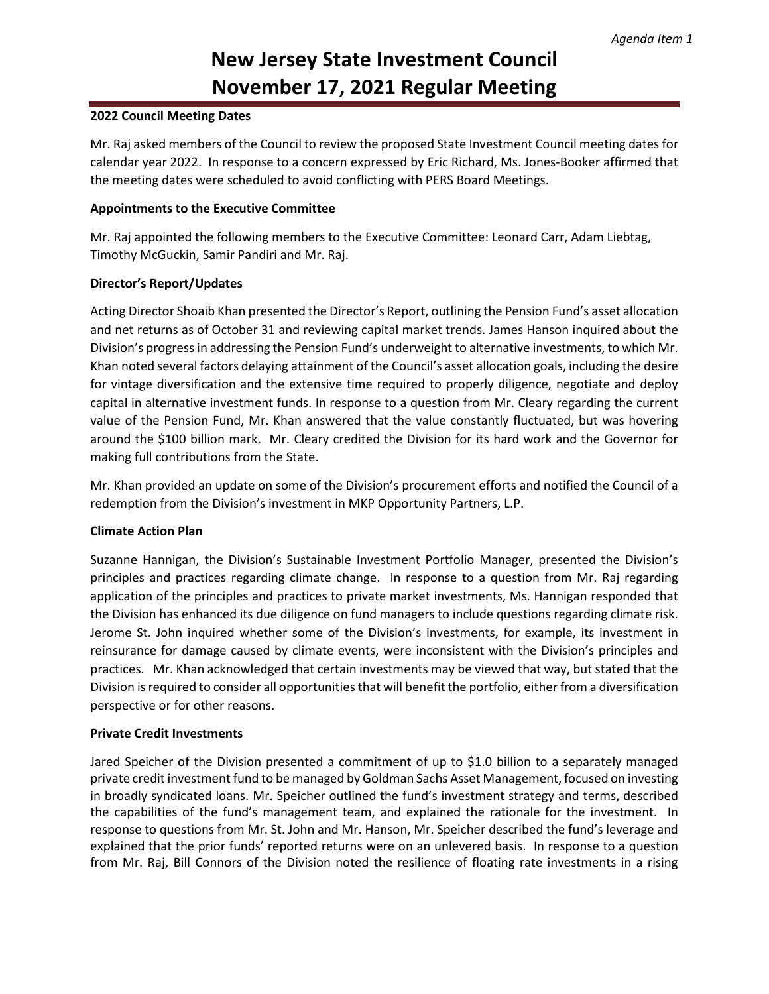# **New Jersey State Investment Council November 17, 2021 Regular Meeting**

### **2022 Council Meeting Dates**

Mr. Raj asked members of the Council to review the proposed State Investment Council meeting dates for calendar year 2022. In response to a concern expressed by Eric Richard, Ms. Jones-Booker affirmed that the meeting dates were scheduled to avoid conflicting with PERS Board Meetings.

## **Appointments to the Executive Committee**

Mr. Raj appointed the following members to the Executive Committee: Leonard Carr, Adam Liebtag, Timothy McGuckin, Samir Pandiri and Mr. Raj.

## **Director's Report/Updates**

Acting Director Shoaib Khan presented the Director's Report, outlining the Pension Fund's asset allocation and net returns as of October 31 and reviewing capital market trends. James Hanson inquired about the Division's progress in addressing the Pension Fund's underweight to alternative investments, to which Mr. Khan noted several factors delaying attainment of the Council's asset allocation goals, including the desire for vintage diversification and the extensive time required to properly diligence, negotiate and deploy capital in alternative investment funds. In response to a question from Mr. Cleary regarding the current value of the Pension Fund, Mr. Khan answered that the value constantly fluctuated, but was hovering around the \$100 billion mark. Mr. Cleary credited the Division for its hard work and the Governor for making full contributions from the State.

Mr. Khan provided an update on some of the Division's procurement efforts and notified the Council of a redemption from the Division's investment in MKP Opportunity Partners, L.P.

### **Climate Action Plan**

Suzanne Hannigan, the Division's Sustainable Investment Portfolio Manager, presented the Division's principles and practices regarding climate change. In response to a question from Mr. Raj regarding application of the principles and practices to private market investments, Ms. Hannigan responded that the Division has enhanced its due diligence on fund managers to include questions regarding climate risk. Jerome St. John inquired whether some of the Division's investments, for example, its investment in reinsurance for damage caused by climate events, were inconsistent with the Division's principles and practices. Mr. Khan acknowledged that certain investments may be viewed that way, but stated that the Division is required to consider all opportunities that will benefit the portfolio, either from a diversification perspective or for other reasons.

### **Private Credit Investments**

Jared Speicher of the Division presented a commitment of up to \$1.0 billion to a separately managed private credit investment fund to be managed by Goldman Sachs Asset Management, focused on investing in broadly syndicated loans. Mr. Speicher outlined the fund's investment strategy and terms, described the capabilities of the fund's management team, and explained the rationale for the investment. In response to questions from Mr. St. John and Mr. Hanson, Mr. Speicher described the fund's leverage and explained that the prior funds' reported returns were on an unlevered basis. In response to a question from Mr. Raj, Bill Connors of the Division noted the resilience of floating rate investments in a rising